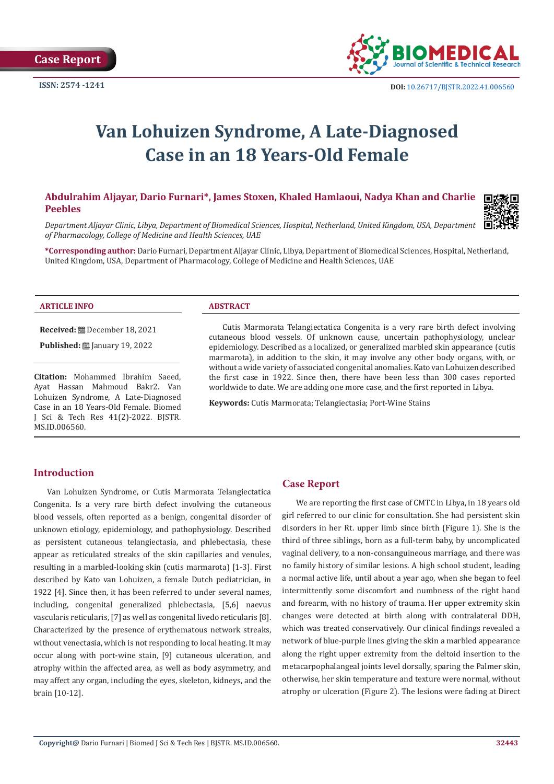

# **Van Lohuizen Syndrome, A Late-Diagnosed Case in an 18 Years-Old Female**

# **Abdulrahim Aljayar, Dario Furnari\*, James Stoxen, Khaled Hamlaoui, Nadya Khan and Charlie Peebles**



*Department Aljayar Clinic, Libya, Department of Biomedical Sciences, Hospital, Netherland, United Kingdom, USA, Department of Pharmacology, College of Medicine and Health Sciences, UAE*

**\*Corresponding author:** Dario Furnari, Department Aljayar Clinic, Libya, Department of Biomedical Sciences, Hospital, Netherland, United Kingdom, USA, Department of Pharmacology, College of Medicine and Health Sciences, UAE

#### **ARTICLE INFO ABSTRACT**

**Received:** December 18, 2021

**Published: ■ January 19, 2022** 

**Citation:** Mohammed Ibrahim Saeed, Ayat Hassan Mahmoud Bakr2. Van Lohuizen Syndrome, A Late-Diagnosed Case in an 18 Years-Old Female. Biomed J Sci & Tech Res 41(2)-2022. BJSTR. MS.ID.006560.

Cutis Marmorata Telangiectatica Congenita is a very rare birth defect involving cutaneous blood vessels. Of unknown cause, uncertain pathophysiology, unclear epidemiology. Described as a localized, or generalized marbled skin appearance (cutis marmarota), in addition to the skin, it may involve any other body organs, with, or without a wide variety of associated congenital anomalies. Kato van Lohuizen described the first case in 1922. Since then, there have been less than 300 cases reported worldwide to date. We are adding one more case, and the first reported in Libya.

**Keywords:** Cutis Marmorata; Telangiectasia; Port-Wine Stains

# **Introduction**

Van Lohuizen Syndrome, or Cutis Marmorata Telangiectatica Congenita. Is a very rare birth defect involving the cutaneous blood vessels, often reported as a benign, congenital disorder of unknown etiology, epidemiology, and pathophysiology. Described as persistent cutaneous telangiectasia, and phlebectasia, these appear as reticulated streaks of the skin capillaries and venules, resulting in a marbled-looking skin (cutis marmarota) [1-3]. First described by Kato van Lohuizen, a female Dutch pediatrician, in 1922 [4]. Since then, it has been referred to under several names, including, congenital generalized phlebectasia, [5,6] naevus vascularis reticularis, [7] as well as congenital livedo reticularis [8]. Characterized by the presence of erythematous network streaks, without venectasia, which is not responding to local heating. It may occur along with port-wine stain, [9] cutaneous ulceration, and atrophy within the affected area, as well as body asymmetry, and may affect any organ, including the eyes, skeleton, kidneys, and the brain [10-12].

# **Case Report**

We are reporting the first case of CMTC in Libya, in 18 years old girl referred to our clinic for consultation. She had persistent skin disorders in her Rt. upper limb since birth (Figure 1). She is the third of three siblings, born as a full-term baby, by uncomplicated vaginal delivery, to a non-consanguineous marriage, and there was no family history of similar lesions. A high school student, leading a normal active life, until about a year ago, when she began to feel intermittently some discomfort and numbness of the right hand and forearm, with no history of trauma. Her upper extremity skin changes were detected at birth along with contralateral DDH, which was treated conservatively. Our clinical findings revealed a network of blue-purple lines giving the skin a marbled appearance along the right upper extremity from the deltoid insertion to the metacarpophalangeal joints level dorsally, sparing the Palmer skin, otherwise, her skin temperature and texture were normal, without atrophy or ulceration (Figure 2). The lesions were fading at Direct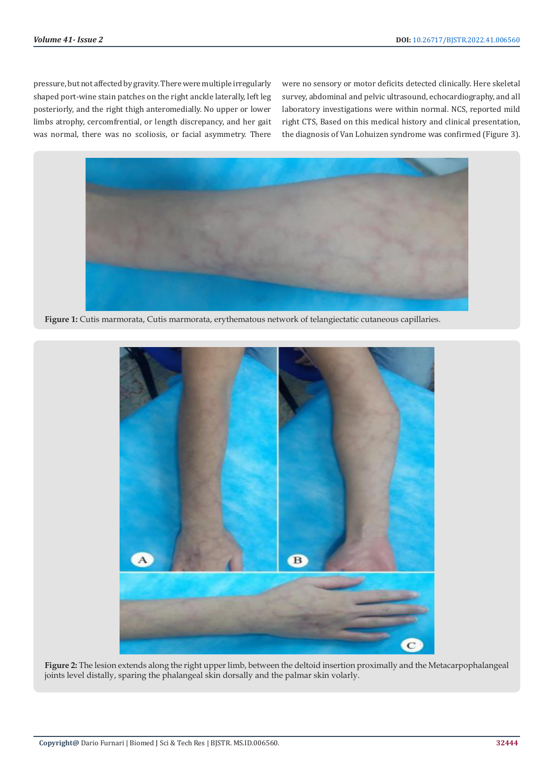pressure, but not affected by gravity. There were multiple irregularly shaped port-wine stain patches on the right anckle laterally, left leg posteriorly, and the right thigh anteromedially. No upper or lower limbs atrophy, cercomfrential, or length discrepancy, and her gait was normal, there was no scoliosis, or facial asymmetry. There

were no sensory or motor deficits detected clinically. Here skeletal survey, abdominal and pelvic ultrasound, echocardiography, and all laboratory investigations were within normal. NCS, reported mild right CTS, Based on this medical history and clinical presentation, the diagnosis of Van Lohuizen syndrome was confirmed (Figure 3).



**Figure 1:** Cutis marmorata, Cutis marmorata, erythematous network of telangiectatic cutaneous capillaries.



**Figure 2:** The lesion extends along the right upper limb, between the deltoid insertion proximally and the Metacarpophalangeal joints level distally, sparing the phalangeal skin dorsally and the palmar skin volarly.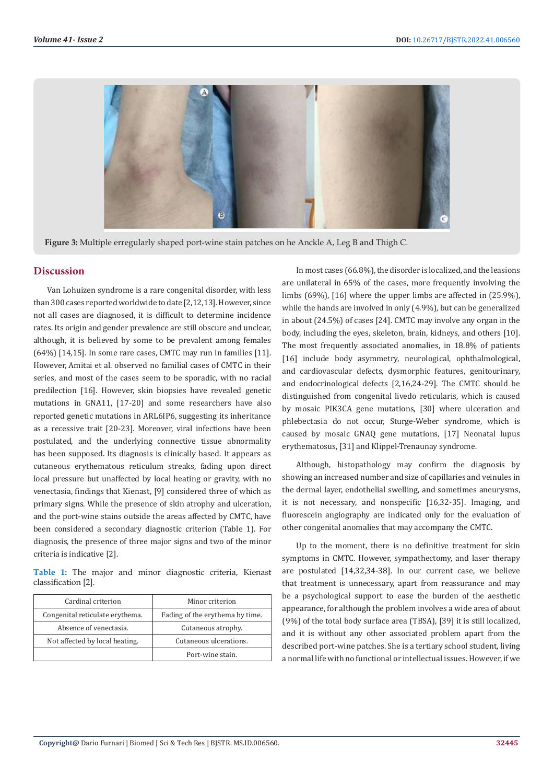

**Figure 3:** Multiple erregularly shaped port-wine stain patches on he Anckle A, Leg B and Thigh C.

#### **Discussion**

Van Lohuizen syndrome is a rare congenital disorder, with less than 300 cases reported worldwide to date [2,12,13]. However, since not all cases are diagnosed, it is difficult to determine incidence rates. Its origin and gender prevalence are still obscure and unclear, although, it is believed by some to be prevalent among females (64%) [14,15]. In some rare cases, CMTC may run in families [11]. However, Amitai et al. observed no familial cases of CMTC in their series, and most of the cases seem to be sporadic, with no racial predilection [16]. However, skin biopsies have revealed genetic mutations in GNA11, [17-20] and some researchers have also reported genetic mutations in ARL6IP6, suggesting its inheritance as a recessive trait [20-23]. Moreover, viral infections have been postulated, and the underlying connective tissue abnormality has been supposed. Its diagnosis is clinically based. It appears as cutaneous erythematous reticulum streaks, fading upon direct local pressure but unaffected by local heating or gravity, with no venectasia, findings that Kienast, [9] considered three of which as primary signs. While the presence of skin atrophy and ulceration, and the port-wine stains outside the areas affected by CMTC, have been considered a secondary diagnostic criterion (Table 1). For diagnosis, the presence of three major signs and two of the minor criteria is indicative [2].

**Table 1:** The major and minor diagnostic criteria, Kienast classification [2].

| Cardinal criterion              | Minor criterion                 |
|---------------------------------|---------------------------------|
| Congenital reticulate erythema. | Fading of the erythema by time. |
| Absence of venectasia.          | Cutaneous atrophy.              |
| Not affected by local heating.  | Cutaneous ulcerations.          |
|                                 | Port-wine stain.                |

In most cases (66.8%), the disorder is localized, and the leasions are unilateral in 65% of the cases, more frequently involving the limbs (69%), [16] where the upper limbs are affected in (25.9%), while the hands are involved in only (4.9%), but can be generalized in about (24.5%) of cases [24]. CMTC may involve any organ in the body, including the eyes, skeleton, brain, kidneys, and others [10]. The most frequently associated anomalies, in 18.8% of patients [16] include body asymmetry, neurological, ophthalmological, and cardiovascular defects, dysmorphic features, genitourinary, and endocrinological defects [2,16,24-29]. The CMTC should be distinguished from congenital livedo reticularis, which is caused by mosaic PIK3CA gene mutations, [30] where ulceration and phlebectasia do not occur, Sturge-Weber syndrome, which is caused by mosaic GNAQ gene mutations, [17] Neonatal lupus erythematosus, [31] and Klippel-Trenaunay syndrome.

Although, histopathology may confirm the diagnosis by showing an increased number and size of capillaries and veinules in the dermal layer, endothelial swelling, and sometimes aneurysms, it is not necessary, and nonspecific [16,32-35]. Imaging, and fluorescein angiography are indicated only for the evaluation of other congenital anomalies that may accompany the CMTC.

Up to the moment, there is no definitive treatment for skin symptoms in CMTC. However, sympathectomy, and laser therapy are postulated [14,32,34-38]. In our current case, we believe that treatment is unnecessary, apart from reassurance and may be a psychological support to ease the burden of the aesthetic appearance, for although the problem involves a wide area of about (9%) of the total body surface area (TBSA), [39] it is still localized, and it is without any other associated problem apart from the described port-wine patches. She is a tertiary school student, living a normal life with no functional or intellectual issues. However, if we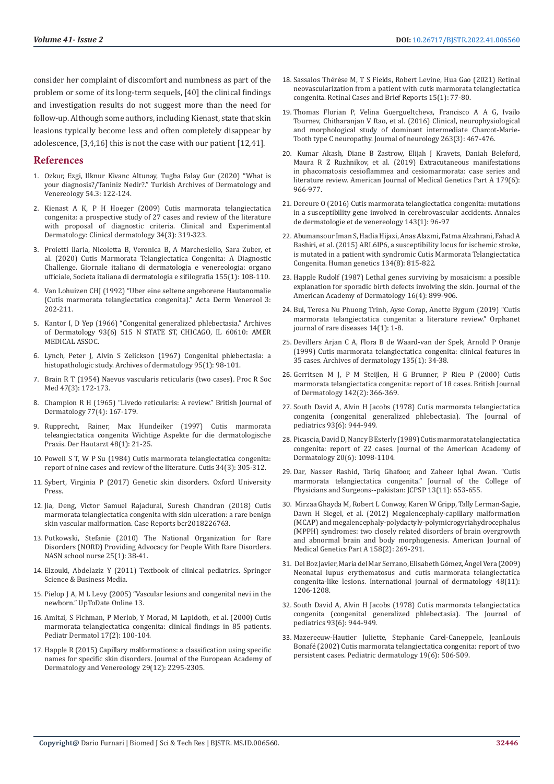consider her complaint of discomfort and numbness as part of the problem or some of its long-term sequels, [40] the clinical findings and investigation results do not suggest more than the need for follow-up. Although some authors, including Kienast, state that skin leasions typically become less and often completely disappear by adolescence, [3,4,16] this is not the case with our patient [12,41].

#### **References**

- 1. Ozkur, Ezgi, Ilknur Kivanc Altunay, Tugba Falay Gur (2020) "What is your diagnosis?/Taniniz Nedir?." Turkish Archives of Dermatology and Venereology 54.3: 122-124.
- 2. [Kienast A K, P H Hoeger \(2009\) Cutis marmorata telangiectatica](https://pubmed.ncbi.nlm.nih.gov/19196300/)  [congenita: a prospective study of 27 cases and review of the literature](https://pubmed.ncbi.nlm.nih.gov/19196300/)  [with proposal of diagnostic criteria. Clinical and Experimental](https://pubmed.ncbi.nlm.nih.gov/19196300/)  [Dermatology: Clinical dermatology 34\(3\): 319-323.](https://pubmed.ncbi.nlm.nih.gov/19196300/)
- 3. [Proietti Ilaria, Nicoletta B, Veronica B, A Marchesiello, Sara Zuber, et](https://pubmed.ncbi.nlm.nih.gov/29512977/)  [al. \(2020\) Cutis Marmorata Telangiectatica Congenita: A Diagnostic](https://pubmed.ncbi.nlm.nih.gov/29512977/)  [Challenge. Giornale italiano di dermatologia e venereologia: organo](https://pubmed.ncbi.nlm.nih.gov/29512977/)  [ufficiale, Societa italiana di dermatologia e sifilografia 155\(1\): 108-110.](https://pubmed.ncbi.nlm.nih.gov/29512977/)
- 4. Van Lohuizen CHJ (1992) "Uber eine seltene angeborene Hautanomalie (Cutis marmorata telangiectatica congenita)." Acta Derm Venereol 3: 202-211.
- 5. Kantor I, D Yep (1966) "Congenital generalized phlebectasia." Archives of Dermatology 93(6) 515 N STATE ST, CHICAGO, IL 60610: AMER MEDICAL ASSOC.
- 6. [Lynch, Peter J, Alvin S Zelickson \(1967\) Congenital phlebectasia: a](https://jamanetwork.com/journals/jamadermatology/article-abstract/530161)  [histopathologic study. Archives of dermatology 95\(1\): 98-101.](https://jamanetwork.com/journals/jamadermatology/article-abstract/530161)
- 7. [Brain R T \(1954\) Naevus vascularis reticularis \(two cases\)](https://pubmed.ncbi.nlm.nih.gov/13155499/). Proc R Soc [Med 47\(3\): 172-173.](https://pubmed.ncbi.nlm.nih.gov/13155499/)
- 8. Champion R H (1965) "Livedo reticularis: A review." British Journal of Dermatology 77(4): 167-179.
- 9. [Rupprecht, Rainer, Max Hundeiker \(1997\) Cutis marmorata](https://pubmed.ncbi.nlm.nih.gov/9132383/)  [teleangiectatica congenita Wichtige Aspekte f](https://pubmed.ncbi.nlm.nih.gov/9132383/)ür die dermatologische [Praxis. Der Hautarzt 48\(1\): 21-25.](https://pubmed.ncbi.nlm.nih.gov/9132383/)
- 10. [Powell S T, W P Su \(1984\) Cutis marmorata telangiectatica congenita:](https://pubmed.ncbi.nlm.nih.gov/6386356/)  [report of nine cases and review of the literature. Cutis 34\(3\): 305-312.](https://pubmed.ncbi.nlm.nih.gov/6386356/)
- 11. [Sybert, Virginia P \(2017\) Genetic skin disorders. Oxford University](https://global.oup.com/academic/product/genetic-skin-disorders-9780190276478?cc=us&lang=en&)  [Press.](https://global.oup.com/academic/product/genetic-skin-disorders-9780190276478?cc=us&lang=en&)
- 12. Jia, Deng, Victor Samuel Rajadurai, Suresh Chandran (2018) Cutis marmorata telangiectatica congenita with skin ulceration: a rare benign skin vascular malformation. Case Reports bcr2018226763.
- 13. [Putkowski, Stefanie \(2010\) The National Organization for Rare](https://pubmed.ncbi.nlm.nih.gov/20440954/)  [Disorders \(NORD\) Providing Advocacy for People With Rare Disorders.](https://pubmed.ncbi.nlm.nih.gov/20440954/)  [NASN school nurse 25\(1\): 38-41.](https://pubmed.ncbi.nlm.nih.gov/20440954/)
- 14. Elzouki, Abdelaziz Y (2011) Textbook of clinical pediatrics. Springer Science & Business Media.
- 15. Pielop J A, M L Levy (2005) "Vascular lesions and congenital nevi in the newborn." UpToDate Online 13.
- 16. [Amitai, S Fichman, P Merlob, Y Morad, M Lapidoth, et al. \(2000\) Cutis](https://pubmed.ncbi.nlm.nih.gov/10792796/)  [marmorata telangiectatica congenita: clinical findings in 85 patients.](https://pubmed.ncbi.nlm.nih.gov/10792796/)  [Pediatr Dermatol 17\(2\): 100-104.](https://pubmed.ncbi.nlm.nih.gov/10792796/)
- 17. Happle R (2015) Capillary malformations: a classification using specific names for specific skin disorders. Journal of the European Academy of Dermatology and Venereology 29(12): 2295-2305.
- 18. Sassalos Thérè[se M, T S Fields, Robert Levine, Hua Gao \(2021\) Retinal](https://pubmed.ncbi.nlm.nih.gov/29543621/) [neovascularization from a patient with cutis marmorata telangiectatica](https://pubmed.ncbi.nlm.nih.gov/29543621/) [congenita. Retinal Cases and Brief Reports 15\(1\): 77-80.](https://pubmed.ncbi.nlm.nih.gov/29543621/)
- 19. [Thomas Florian P, Velina Guergueltcheva, Francisco A A G, Ivailo](https://pubmed.ncbi.nlm.nih.gov/26725087/) [Tournev, Chitharanjan V Rao, et al. \(2016\) Clinical, neurophysiological](https://pubmed.ncbi.nlm.nih.gov/26725087/) [and morphological study of dominant intermediate Charcot-Marie-](https://pubmed.ncbi.nlm.nih.gov/26725087/)[Tooth type C neuropathy. Journal of neurology 263\(3\): 467-476.](https://pubmed.ncbi.nlm.nih.gov/26725087/)
- 20. [Kumar Akash, Diane B Zastrow, Elijah J Kravets, Daniah Beleford,](https://pubmed.ncbi.nlm.nih.gov/30920161/) [Maura R Z Ruzhnikov, et al. \(2019\) Extracutaneous manifestations](https://pubmed.ncbi.nlm.nih.gov/30920161/) [in phacomatosis cesioflammea and cesiomarmorata: case series and](https://pubmed.ncbi.nlm.nih.gov/30920161/) [literature review. American Journal of Medical Genetics Part A 179\(6\):](https://pubmed.ncbi.nlm.nih.gov/30920161/) [966-977.](https://pubmed.ncbi.nlm.nih.gov/30920161/)
- 21. [Dereure O \(2016\) Cutis marmorata telangiectatica congenita: mutations](https://pubmed.ncbi.nlm.nih.gov/26708206/) [in a susceptibility gene involved in cerebrovascular accidents. Annales](https://pubmed.ncbi.nlm.nih.gov/26708206/) [de dermatologie et de venereology 143\(1\): 96-97](https://pubmed.ncbi.nlm.nih.gov/26708206/)
- 22. Abumansour Iman S, Hadia Hijazi, Anas Alazmi, Fatma Alzahrani, Fahad A Bashiri, et al. (2015) ARL6IP6, a susceptibility locus for ischemic stroke, is mutated in a patient with syndromic Cutis Marmorata Telangiectatica Congenita. Human genetics 134(8): 815-822.
- 23. [Happle Rudolf \(1987\) Lethal genes surviving by mosaicism: a possible](https://pubmed.ncbi.nlm.nih.gov/3033033/) [explanation for sporadic birth defects involving the skin. Journal of the](https://pubmed.ncbi.nlm.nih.gov/3033033/) [American Academy of Dermatology 16\(4\): 899-906.](https://pubmed.ncbi.nlm.nih.gov/3033033/)
- 24. Bui, Teresa Nu Phuong Trinh, Ayse Corap, Anette Bygum (2019) "Cutis marmorata telangiectatica congenita: a literature review." Orphanet journal of rare diseases 14(1): 1-8.
- 25. [Devillers Arjan C A, Flora B de Waard-van der Spek, Arnold P Oranje](https://pubmed.ncbi.nlm.nih.gov/9923778/) [\(1999\) Cutis marmorata telangiectatica congenita: clinical features in](https://pubmed.ncbi.nlm.nih.gov/9923778/) [35 cases. Archives of dermatology 135\(1\): 34-38.](https://pubmed.ncbi.nlm.nih.gov/9923778/)
- 26. [Gerritsen M J, P M Steijlen, H G Brunner, P Rieu P \(2000\) Cutis](https://pubmed.ncbi.nlm.nih.gov/10730777/) [marmorata telangiectatica congenita: report of 18 cases. British Journal](https://pubmed.ncbi.nlm.nih.gov/10730777/) [of Dermatology 142\(2\): 366-369.](https://pubmed.ncbi.nlm.nih.gov/10730777/)
- 27. [South David A, Alvin H Jacobs \(1978\) Cutis marmorata telangiectatica](https://pubmed.ncbi.nlm.nih.gov/722437/) [congenita \(congenital generalized phlebectasia\). The Journal of](https://pubmed.ncbi.nlm.nih.gov/722437/) [pediatrics 93\(6\): 944-949.](https://pubmed.ncbi.nlm.nih.gov/722437/)
- 28. [Picascia, David D, Nancy B Esterly \(1989\) Cutis marmorata telangiectatica](https://pubmed.ncbi.nlm.nih.gov/2666459/) [congenita: report of 22 cases. Journal of the American Academy of](https://pubmed.ncbi.nlm.nih.gov/2666459/) [Dermatology 20\(6\): 1098-1104.](https://pubmed.ncbi.nlm.nih.gov/2666459/)
- 29. Dar, Nasser Rashid, Tariq Ghafoor, and Zaheer Iqbal Awan. "Cutis marmorata telangiectatica congenita." Journal of the College of Physicians and Surgeons--pakistan: JCPSP 13(11): 653-655.
- 30. [Mirzaa Ghayda M, Robert L Conway, Karen W Gripp, Tally Lerman-Sagie,](https://pubmed.ncbi.nlm.nih.gov/22228622/) [Dawn H Siegel, et al. \(2012\) Megalencephaly-capillary malformation](https://pubmed.ncbi.nlm.nih.gov/22228622/) [\(MCAP\) and megalencephaly-polydactyly-polymicrogyriahydrocephalus](https://pubmed.ncbi.nlm.nih.gov/22228622/) [\(MPPH\) syndromes: two closely related disorders of brain overgrowth](https://pubmed.ncbi.nlm.nih.gov/22228622/) [and abnormal brain and body morphogenesis. American Journal of](https://pubmed.ncbi.nlm.nih.gov/22228622/) [Medical Genetics Part A 158\(2\): 269-291.](https://pubmed.ncbi.nlm.nih.gov/22228622/)
- 31. Del Boz Javier, Marí[a del Mar Serrano, Elisabeth G](https://www.researchgate.net/publication/40906794_Neonatal_lupus_erythematosus_and_cutis_marmorata_telangiectatica_congenita-like_lesions)ómez, Ángel Vera (2009) [Neonatal lupus erythematosus and cutis marmorata telangiectatica](https://www.researchgate.net/publication/40906794_Neonatal_lupus_erythematosus_and_cutis_marmorata_telangiectatica_congenita-like_lesions) congenita-like lesions. International journal of dermatology 48(11): [1206-1208.](https://www.researchgate.net/publication/40906794_Neonatal_lupus_erythematosus_and_cutis_marmorata_telangiectatica_congenita-like_lesions)
- 32. [South David A, Alvin H Jacobs \(1978\) Cutis marmorata telangiectatica](https://pubmed.ncbi.nlm.nih.gov/722437/) [congenita \(congenital generalized phlebectasia\). The Journal of](https://pubmed.ncbi.nlm.nih.gov/722437/) [pediatrics 93\(6\): 944-949.](https://pubmed.ncbi.nlm.nih.gov/722437/)
- 33. Mazereeuw-Hautier Juliette, Stephanie Carel-Caneppele, JeanLouis Bonafé (2002) Cutis marmorata telangiectatica congenita: report of two persistent cases. Pediatric dermatology 19(6): 506-509.